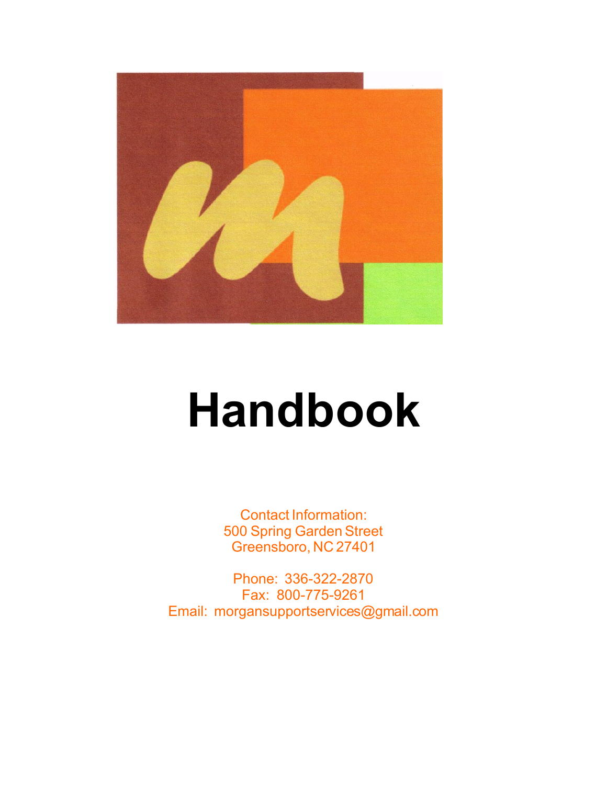

# **Handbook**

Contact Information: 500 Spring Garden Street Greensboro, NC 27401

Phone: 336-322-2870 Fax: 800-775-9261 Email: morgansupportservices@gmail.com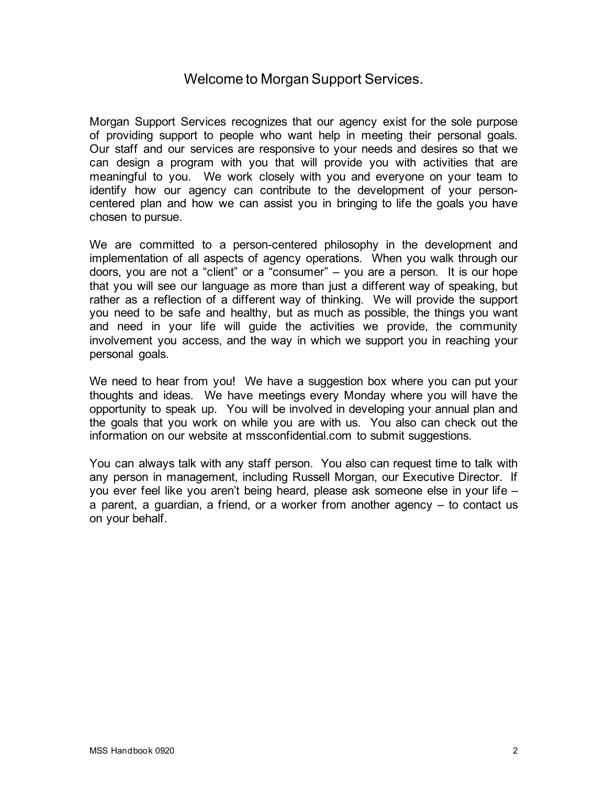# Welcome to Morgan Support Services.

Morgan Support Services recognizes that our agency exist for the sole purpose of providing support to people who want help in meeting their personal goals. Our staff and our services are responsive to your needs and desires so that we can design a program with you that will provide you with activities that are meaningful to you. We work closely with you and everyone on your team to identify how our agency can contribute to the development of your personcentered plan and how we can assist you in bringing to life the goals you have chosen to pursue.

We are committed to a person-centered philosophy in the development and implementation of all aspects of agency operations. When you walk through our doors, you are not a "client" or a "consumer" – you are a person. It is our hope that you will see our language as more than just a different way of speaking, but rather as a reflection of a different way of thinking. We will provide the support you need to be safe and healthy, but as much as possible, the things you want and need in your life will guide the activities we provide, the community involvement you access, and the way in which we support you in reaching your personal goals.

We need to hear from you! We have a suggestion box where you can put your thoughts and ideas. We have meetings every Monday where you will have the opportunity to speak up. You will be involved in developing your annual plan and the goals that you work on while you are with us. You also can check out the information on our website at mssconfidential.com to submit suggestions.

You can always talk with any staff person. You also can request time to talk with any person in management, including Russell Morgan, our Executive Director. If you ever feel like you aren't being heard, please ask someone else in your life – a parent, a guardian, a friend, or a worker from another agency – to contact us on your behalf.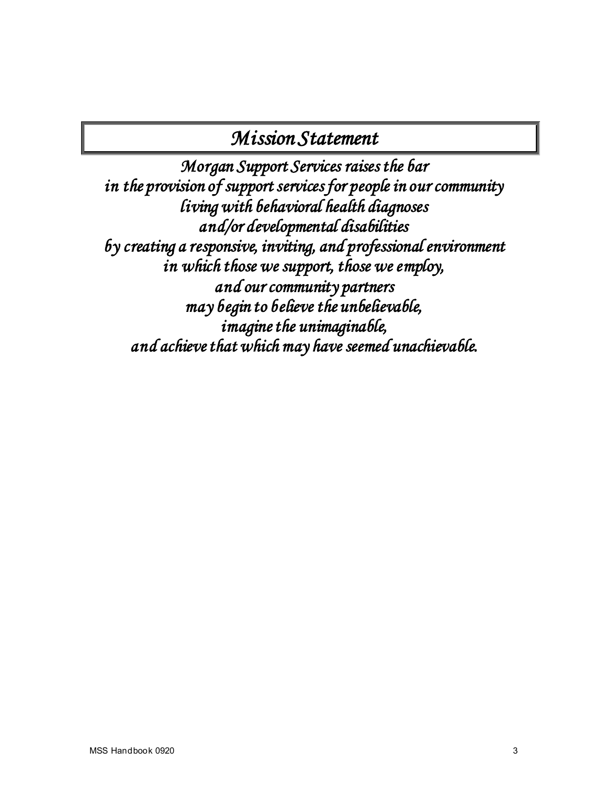# *Mission Statement*

*Morgan Support Services raises the bar in the provision of support services for people in our community living with behavioral health diagnoses and/or developmental disabilities by creating a responsive, inviting, and professional environment in which those we support, those we employ, and our community partners may begin to believe the unbelievable, imagine the unimaginable, and achieve that which may have seemed unachievable.*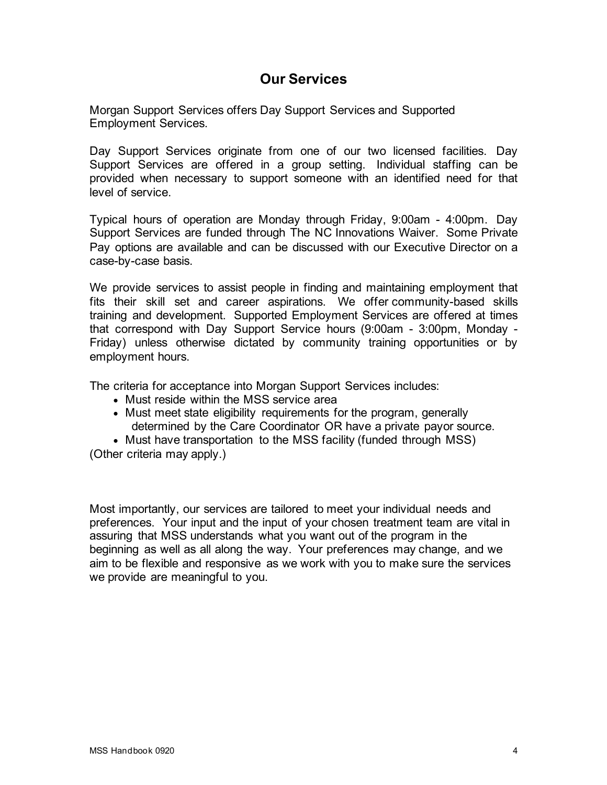# **Our Services**

Morgan Support Services offers Day Support Services and Supported Employment Services.

Day Support Services originate from one of our two licensed facilities. Day Support Services are offered in a group setting. Individual staffing can be provided when necessary to support someone with an identified need for that level of service.

Typical hours of operation are Monday through Friday, 9:00am - 4:00pm. Day Support Services are funded through The NC Innovations Waiver. Some Private Pay options are available and can be discussed with our Executive Director on a case-by-case basis.

We provide services to assist people in finding and maintaining employment that fits their skill set and career aspirations. We offer community-based skills training and development. Supported Employment Services are offered at times that correspond with Day Support Service hours (9:00am - 3:00pm, Monday - Friday) unless otherwise dictated by community training opportunities or by employment hours.

The criteria for acceptance into Morgan Support Services includes:

- Must reside within the MSS service area
- Must meet state eligibility requirements for the program, generally determined by the Care Coordinator OR have a private payor source.
- Must have transportation to the MSS facility (funded through MSS)

(Other criteria may apply.)

Most importantly, our services are tailored to meet your individual needs and preferences. Your input and the input of your chosen treatment team are vital in assuring that MSS understands what you want out of the program in the beginning as well as all along the way. Your preferences may change, and we aim to be flexible and responsive as we work with you to make sure the services we provide are meaningful to you.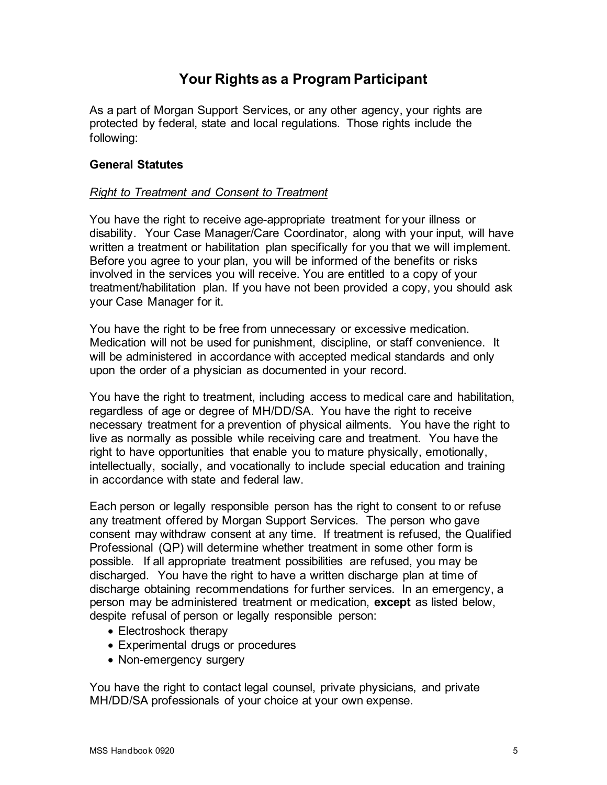# **Your Rights as a Program Participant**

As a part of Morgan Support Services, or any other agency, your rights are protected by federal, state and local regulations. Those rights include the following:

#### **General Statutes**

#### *Right to Treatment and Consent to Treatment*

You have the right to receive age-appropriate treatment for your illness or disability. Your Case Manager/Care Coordinator, along with your input, will have written a treatment or habilitation plan specifically for you that we will implement. Before you agree to your plan, you will be informed of the benefits or risks involved in the services you will receive. You are entitled to a copy of your treatment/habilitation plan. If you have not been provided a copy, you should ask your Case Manager for it.

You have the right to be free from unnecessary or excessive medication. Medication will not be used for punishment, discipline, or staff convenience. It will be administered in accordance with accepted medical standards and only upon the order of a physician as documented in your record.

You have the right to treatment, including access to medical care and habilitation, regardless of age or degree of MH/DD/SA. You have the right to receive necessary treatment for a prevention of physical ailments. You have the right to live as normally as possible while receiving care and treatment. You have the right to have opportunities that enable you to mature physically, emotionally, intellectually, socially, and vocationally to include special education and training in accordance with state and federal law.

Each person or legally responsible person has the right to consent to or refuse any treatment offered by Morgan Support Services. The person who gave consent may withdraw consent at any time. If treatment is refused, the Qualified Professional (QP) will determine whether treatment in some other form is possible. If all appropriate treatment possibilities are refused, you may be discharged. You have the right to have a written discharge plan at time of discharge obtaining recommendations for further services. In an emergency, a person may be administered treatment or medication, **except** as listed below, despite refusal of person or legally responsible person:

- Electroshock therapy
- Experimental drugs or procedures
- Non-emergency surgery

You have the right to contact legal counsel, private physicians, and private MH/DD/SA professionals of your choice at your own expense.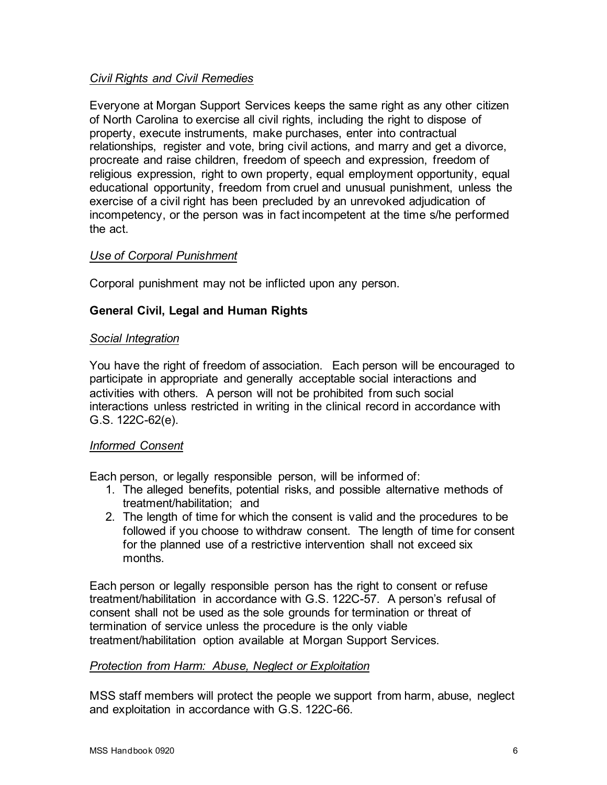# *Civil Rights and Civil Remedies*

Everyone at Morgan Support Services keeps the same right as any other citizen of North Carolina to exercise all civil rights, including the right to dispose of property, execute instruments, make purchases, enter into contractual relationships, register and vote, bring civil actions, and marry and get a divorce, procreate and raise children, freedom of speech and expression, freedom of religious expression, right to own property, equal employment opportunity, equal educational opportunity, freedom from cruel and unusual punishment, unless the exercise of a civil right has been precluded by an unrevoked adjudication of incompetency, or the person was in fact incompetent at the time s/he performed the act.

# *Use of Corporal Punishment*

Corporal punishment may not be inflicted upon any person.

# **General Civil, Legal and Human Rights**

#### *Social Integration*

You have the right of freedom of association. Each person will be encouraged to participate in appropriate and generally acceptable social interactions and activities with others. A person will not be prohibited from such social interactions unless restricted in writing in the clinical record in accordance with G.S. 122C-62(e).

# *Informed Consent*

Each person, or legally responsible person, will be informed of:

- 1. The alleged benefits, potential risks, and possible alternative methods of treatment/habilitation; and
- 2. The length of time for which the consent is valid and the procedures to be followed if you choose to withdraw consent. The length of time for consent for the planned use of a restrictive intervention shall not exceed six months.

Each person or legally responsible person has the right to consent or refuse treatment/habilitation in accordance with G.S. 122C-57. A person's refusal of consent shall not be used as the sole grounds for termination or threat of termination of service unless the procedure is the only viable treatment/habilitation option available at Morgan Support Services.

# *Protection from Harm: Abuse, Neglect or Exploitation*

MSS staff members will protect the people we support from harm, abuse, neglect and exploitation in accordance with G.S. 122C-66.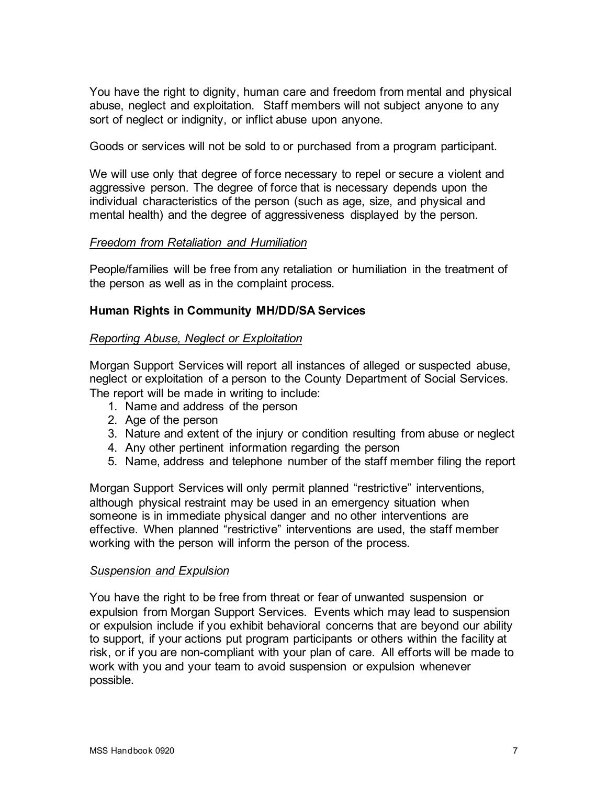You have the right to dignity, human care and freedom from mental and physical abuse, neglect and exploitation. Staff members will not subject anyone to any sort of neglect or indignity, or inflict abuse upon anyone.

Goods or services will not be sold to or purchased from a program participant.

We will use only that degree of force necessary to repel or secure a violent and aggressive person. The degree of force that is necessary depends upon the individual characteristics of the person (such as age, size, and physical and mental health) and the degree of aggressiveness displayed by the person.

#### *Freedom from Retaliation and Humiliation*

People/families will be free from any retaliation or humiliation in the treatment of the person as well as in the complaint process.

# **Human Rights in Community MH/DD/SA Services**

#### *Reporting Abuse, Neglect or Exploitation*

Morgan Support Services will report all instances of alleged or suspected abuse, neglect or exploitation of a person to the County Department of Social Services. The report will be made in writing to include:

- 1. Name and address of the person
- 2. Age of the person
- 3. Nature and extent of the injury or condition resulting from abuse or neglect
- 4. Any other pertinent information regarding the person
- 5. Name, address and telephone number of the staff member filing the report

Morgan Support Services will only permit planned "restrictive" interventions, although physical restraint may be used in an emergency situation when someone is in immediate physical danger and no other interventions are effective. When planned "restrictive" interventions are used, the staff member working with the person will inform the person of the process.

#### *Suspension and Expulsion*

You have the right to be free from threat or fear of unwanted suspension or expulsion from Morgan Support Services. Events which may lead to suspension or expulsion include if you exhibit behavioral concerns that are beyond our ability to support, if your actions put program participants or others within the facility at risk, or if you are non-compliant with your plan of care. All efforts will be made to work with you and your team to avoid suspension or expulsion whenever possible.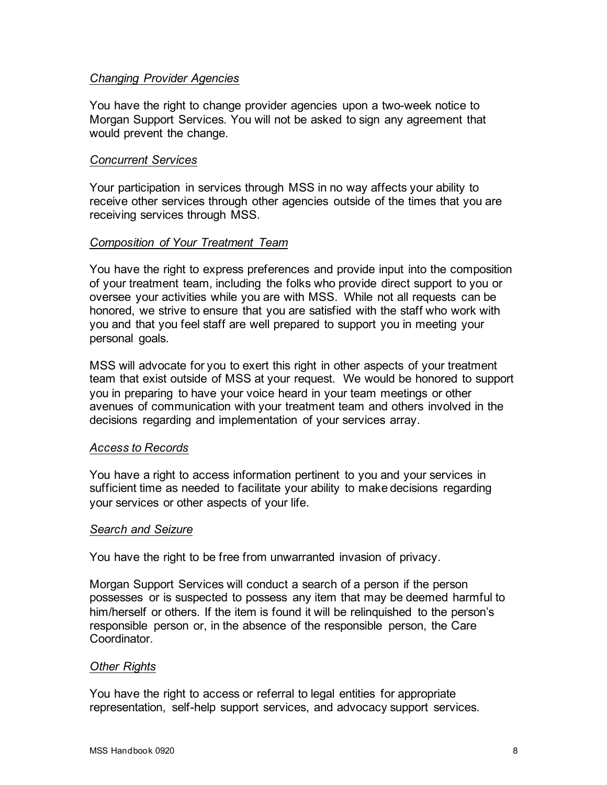# *Changing Provider Agencies*

You have the right to change provider agencies upon a two-week notice to Morgan Support Services. You will not be asked to sign any agreement that would prevent the change.

#### *Concurrent Services*

Your participation in services through MSS in no way affects your ability to receive other services through other agencies outside of the times that you are receiving services through MSS.

#### *Composition of Your Treatment Team*

You have the right to express preferences and provide input into the composition of your treatment team, including the folks who provide direct support to you or oversee your activities while you are with MSS. While not all requests can be honored, we strive to ensure that you are satisfied with the staff who work with you and that you feel staff are well prepared to support you in meeting your personal goals.

MSS will advocate for you to exert this right in other aspects of your treatment team that exist outside of MSS at your request. We would be honored to support you in preparing to have your voice heard in your team meetings or other avenues of communication with your treatment team and others involved in the decisions regarding and implementation of your services array.

#### *Access to Records*

You have a right to access information pertinent to you and your services in sufficient time as needed to facilitate your ability to make decisions regarding your services or other aspects of your life.

#### *Search and Seizure*

You have the right to be free from unwarranted invasion of privacy.

Morgan Support Services will conduct a search of a person if the person possesses or is suspected to possess any item that may be deemed harmful to him/herself or others. If the item is found it will be relinquished to the person's responsible person or, in the absence of the responsible person, the Care Coordinator.

#### *Other Rights*

You have the right to access or referral to legal entities for appropriate representation, self-help support services, and advocacy support services.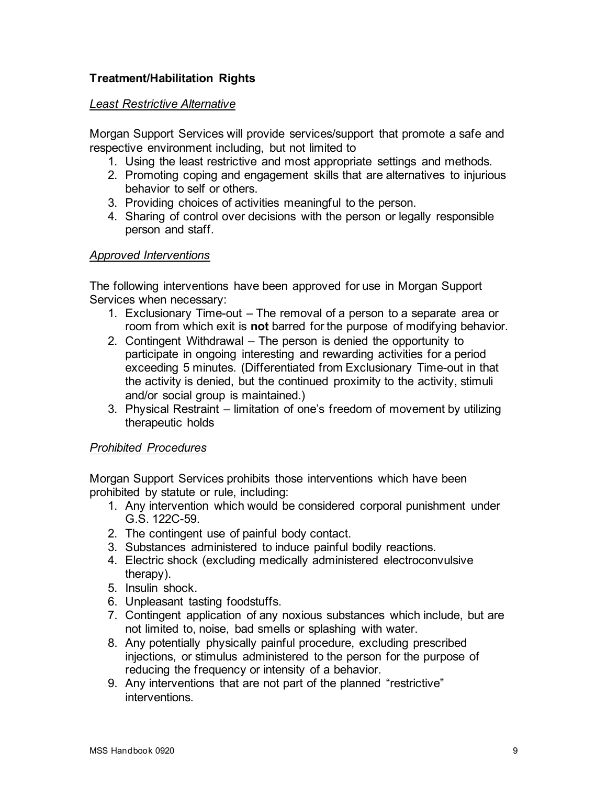# **Treatment/Habilitation Rights**

#### *Least Restrictive Alternative*

Morgan Support Services will provide services/support that promote a safe and respective environment including, but not limited to

- 1. Using the least restrictive and most appropriate settings and methods.
- 2. Promoting coping and engagement skills that are alternatives to injurious behavior to self or others.
- 3. Providing choices of activities meaningful to the person.
- 4. Sharing of control over decisions with the person or legally responsible person and staff.

# *Approved Interventions*

The following interventions have been approved for use in Morgan Support Services when necessary:

- 1. Exclusionary Time-out The removal of a person to a separate area or room from which exit is **not** barred for the purpose of modifying behavior.
- 2. Contingent Withdrawal The person is denied the opportunity to participate in ongoing interesting and rewarding activities for a period exceeding 5 minutes. (Differentiated from Exclusionary Time-out in that the activity is denied, but the continued proximity to the activity, stimuli and/or social group is maintained.)
- 3. Physical Restraint limitation of one's freedom of movement by utilizing therapeutic holds

# *Prohibited Procedures*

Morgan Support Services prohibits those interventions which have been prohibited by statute or rule, including:

- 1. Any intervention which would be considered corporal punishment under G.S. 122C-59.
- 2. The contingent use of painful body contact.
- 3. Substances administered to induce painful bodily reactions.
- 4. Electric shock (excluding medically administered electroconvulsive therapy).
- 5. Insulin shock.
- 6. Unpleasant tasting foodstuffs.
- 7. Contingent application of any noxious substances which include, but are not limited to, noise, bad smells or splashing with water.
- 8. Any potentially physically painful procedure, excluding prescribed injections, or stimulus administered to the person for the purpose of reducing the frequency or intensity of a behavior.
- 9. Any interventions that are not part of the planned "restrictive" interventions.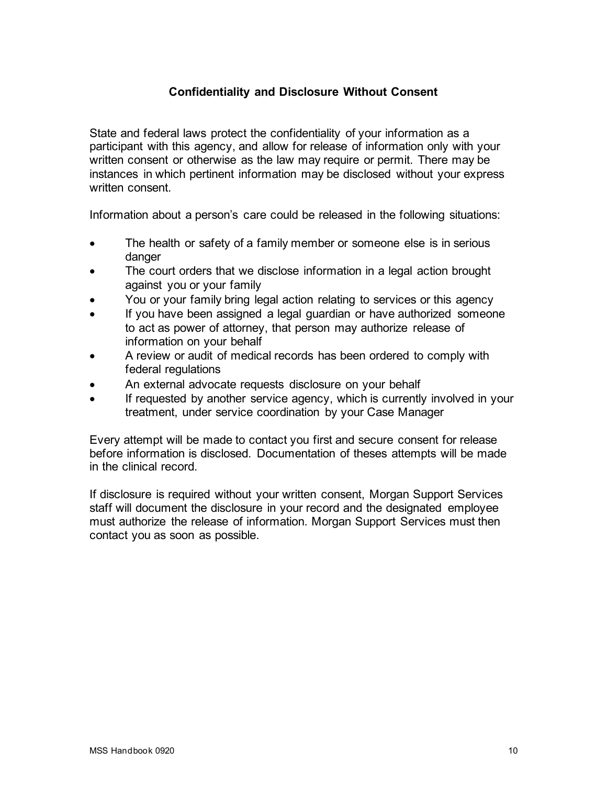# **Confidentiality and Disclosure Without Consent**

State and federal laws protect the confidentiality of your information as a participant with this agency, and allow for release of information only with your written consent or otherwise as the law may require or permit. There may be instances in which pertinent information may be disclosed without your express written consent.

Information about a person's care could be released in the following situations:

- The health or safety of a family member or someone else is in serious danger
- The court orders that we disclose information in a legal action brought against you or your family
- You or your family bring legal action relating to services or this agency
- If you have been assigned a legal guardian or have authorized someone to act as power of attorney, that person may authorize release of information on your behalf
- A review or audit of medical records has been ordered to comply with federal regulations
- An external advocate requests disclosure on your behalf
- If requested by another service agency, which is currently involved in your treatment, under service coordination by your Case Manager

Every attempt will be made to contact you first and secure consent for release before information is disclosed. Documentation of theses attempts will be made in the clinical record.

If disclosure is required without your written consent, Morgan Support Services staff will document the disclosure in your record and the designated employee must authorize the release of information. Morgan Support Services must then contact you as soon as possible.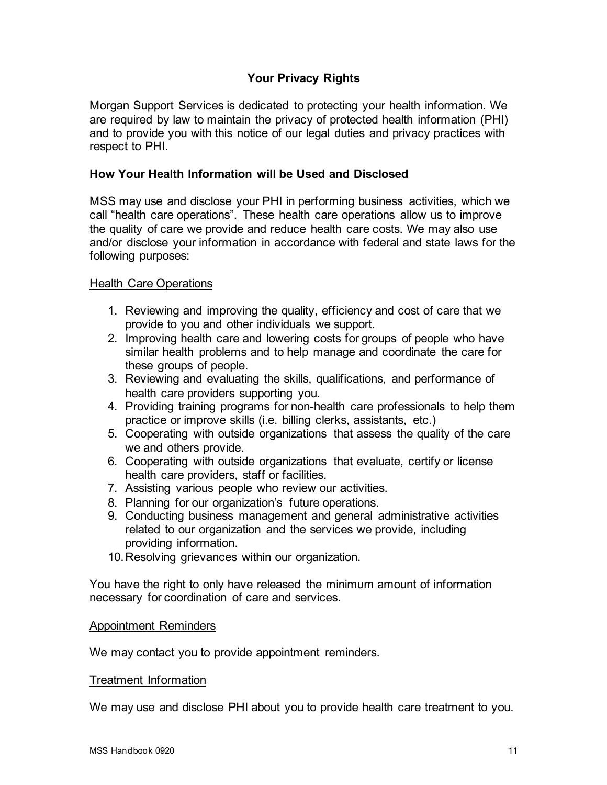# **Your Privacy Rights**

Morgan Support Services is dedicated to protecting your health information. We are required by law to maintain the privacy of protected health information (PHI) and to provide you with this notice of our legal duties and privacy practices with respect to PHI.

#### **How Your Health Information will be Used and Disclosed**

MSS may use and disclose your PHI in performing business activities, which we call "health care operations". These health care operations allow us to improve the quality of care we provide and reduce health care costs. We may also use and/or disclose your information in accordance with federal and state laws for the following purposes:

#### Health Care Operations

- 1. Reviewing and improving the quality, efficiency and cost of care that we provide to you and other individuals we support.
- 2. Improving health care and lowering costs for groups of people who have similar health problems and to help manage and coordinate the care for these groups of people.
- 3. Reviewing and evaluating the skills, qualifications, and performance of health care providers supporting you.
- 4. Providing training programs for non-health care professionals to help them practice or improve skills (i.e. billing clerks, assistants, etc.)
- 5. Cooperating with outside organizations that assess the quality of the care we and others provide.
- 6. Cooperating with outside organizations that evaluate, certify or license health care providers, staff or facilities.
- 7. Assisting various people who review our activities.
- 8. Planning for our organization's future operations.
- 9. Conducting business management and general administrative activities related to our organization and the services we provide, including providing information.
- 10.Resolving grievances within our organization.

You have the right to only have released the minimum amount of information necessary for coordination of care and services.

#### Appointment Reminders

We may contact you to provide appointment reminders.

#### Treatment Information

We may use and disclose PHI about you to provide health care treatment to you.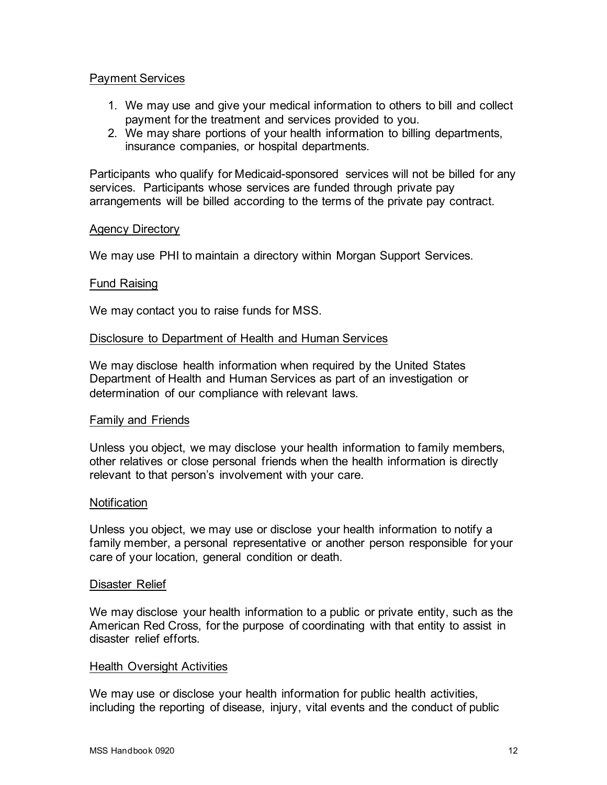## Payment Services

- 1. We may use and give your medical information to others to bill and collect payment for the treatment and services provided to you.
- 2. We may share portions of your health information to billing departments, insurance companies, or hospital departments.

Participants who qualify for Medicaid-sponsored services will not be billed for any services. Participants whose services are funded through private pay arrangements will be billed according to the terms of the private pay contract.

#### Agency Directory

We may use PHI to maintain a directory within Morgan Support Services.

#### Fund Raising

We may contact you to raise funds for MSS.

#### Disclosure to Department of Health and Human Services

We may disclose health information when required by the United States Department of Health and Human Services as part of an investigation or determination of our compliance with relevant laws.

#### Family and Friends

Unless you object, we may disclose your health information to family members, other relatives or close personal friends when the health information is directly relevant to that person's involvement with your care.

#### **Notification**

Unless you object, we may use or disclose your health information to notify a family member, a personal representative or another person responsible for your care of your location, general condition or death.

#### Disaster Relief

We may disclose your health information to a public or private entity, such as the American Red Cross, for the purpose of coordinating with that entity to assist in disaster relief efforts.

#### Health Oversight Activities

We may use or disclose your health information for public health activities, including the reporting of disease, injury, vital events and the conduct of public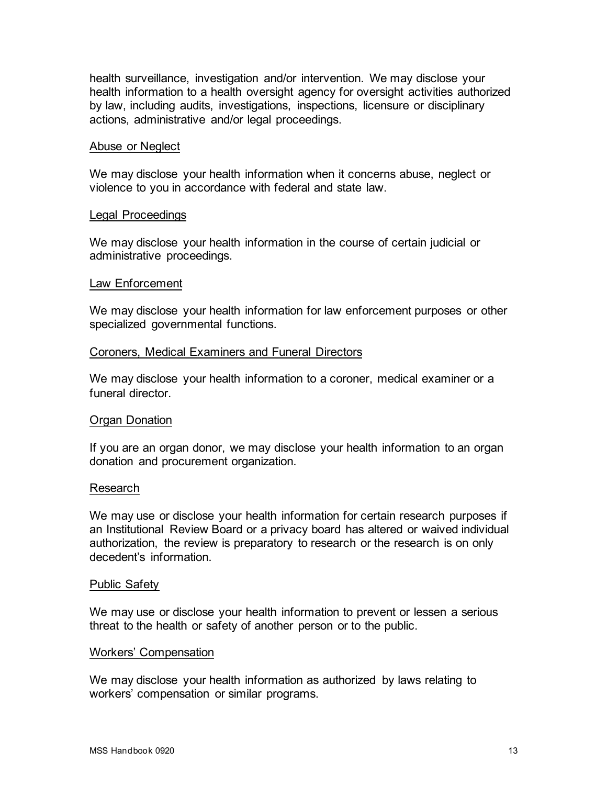health surveillance, investigation and/or intervention. We may disclose your health information to a health oversight agency for oversight activities authorized by law, including audits, investigations, inspections, licensure or disciplinary actions, administrative and/or legal proceedings.

#### Abuse or Neglect

We may disclose your health information when it concerns abuse, neglect or violence to you in accordance with federal and state law.

#### Legal Proceedings

We may disclose your health information in the course of certain judicial or administrative proceedings.

#### Law Enforcement

We may disclose your health information for law enforcement purposes or other specialized governmental functions.

#### Coroners, Medical Examiners and Funeral Directors

We may disclose your health information to a coroner, medical examiner or a funeral director

#### Organ Donation

If you are an organ donor, we may disclose your health information to an organ donation and procurement organization.

#### Research

We may use or disclose your health information for certain research purposes if an Institutional Review Board or a privacy board has altered or waived individual authorization, the review is preparatory to research or the research is on only decedent's information.

#### Public Safety

We may use or disclose your health information to prevent or lessen a serious threat to the health or safety of another person or to the public.

#### Workers' Compensation

We may disclose your health information as authorized by laws relating to workers' compensation or similar programs.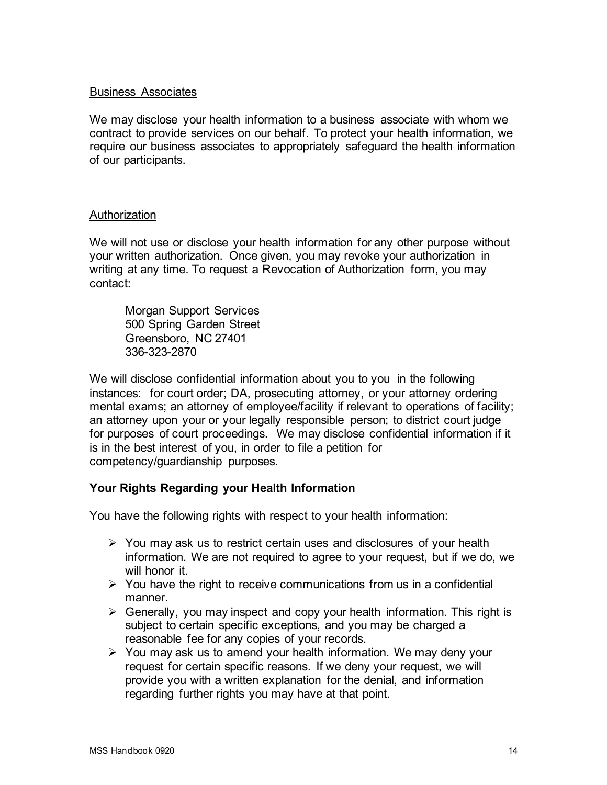# Business Associates

We may disclose your health information to a business associate with whom we contract to provide services on our behalf. To protect your health information, we require our business associates to appropriately safeguard the health information of our participants.

#### Authorization

We will not use or disclose your health information for any other purpose without your written authorization. Once given, you may revoke your authorization in writing at any time. To request a Revocation of Authorization form, you may contact:

Morgan Support Services 500 Spring Garden Street Greensboro, NC 27401 336-323-2870

We will disclose confidential information about you to you in the following instances: for court order; DA, prosecuting attorney, or your attorney ordering mental exams; an attorney of employee/facility if relevant to operations of facility; an attorney upon your or your legally responsible person; to district court judge for purposes of court proceedings. We may disclose confidential information if it is in the best interest of you, in order to file a petition for competency/guardianship purposes.

# **Your Rights Regarding your Health Information**

You have the following rights with respect to your health information:

- $\triangleright$  You may ask us to restrict certain uses and disclosures of your health information. We are not required to agree to your request, but if we do, we will honor it.
- $\triangleright$  You have the right to receive communications from us in a confidential manner.
- $\triangleright$  Generally, you may inspect and copy your health information. This right is subject to certain specific exceptions, and you may be charged a reasonable fee for any copies of your records.
- $\triangleright$  You may ask us to amend your health information. We may deny your request for certain specific reasons. If we deny your request, we will provide you with a written explanation for the denial, and information regarding further rights you may have at that point.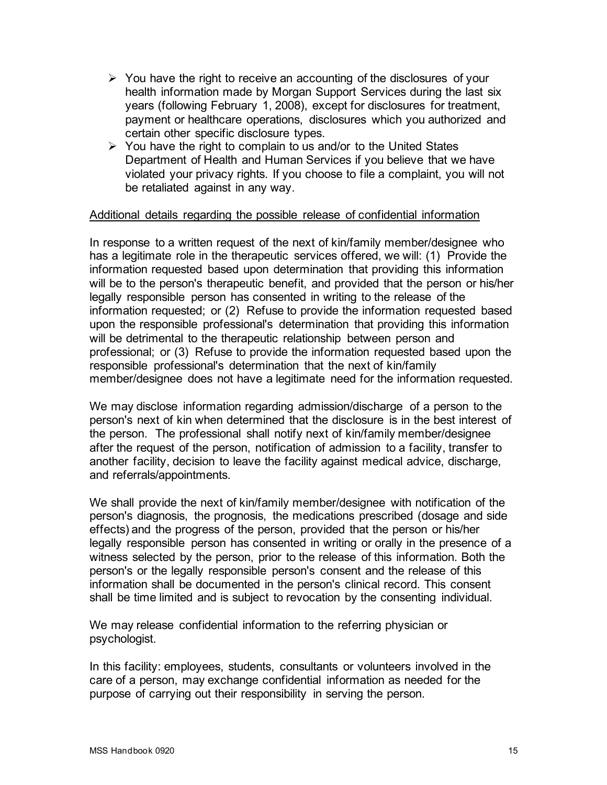- $\triangleright$  You have the right to receive an accounting of the disclosures of your health information made by Morgan Support Services during the last six years (following February 1, 2008), except for disclosures for treatment, payment or healthcare operations, disclosures which you authorized and certain other specific disclosure types.
- $\triangleright$  You have the right to complain to us and/or to the United States Department of Health and Human Services if you believe that we have violated your privacy rights. If you choose to file a complaint, you will not be retaliated against in any way.

#### Additional details regarding the possible release of confidential information

In response to a written request of the next of kin/family member/designee who has a legitimate role in the therapeutic services offered, we will: (1) Provide the information requested based upon determination that providing this information will be to the person's therapeutic benefit, and provided that the person or his/her legally responsible person has consented in writing to the release of the information requested; or (2) Refuse to provide the information requested based upon the responsible professional's determination that providing this information will be detrimental to the therapeutic relationship between person and professional; or (3) Refuse to provide the information requested based upon the responsible professional's determination that the next of kin/family member/designee does not have a legitimate need for the information requested.

We may disclose information regarding admission/discharge of a person to the person's next of kin when determined that the disclosure is in the best interest of the person. The professional shall notify next of kin/family member/designee after the request of the person, notification of admission to a facility, transfer to another facility, decision to leave the facility against medical advice, discharge, and referrals/appointments.

We shall provide the next of kin/family member/designee with notification of the person's diagnosis, the prognosis, the medications prescribed (dosage and side effects) and the progress of the person, provided that the person or his/her legally responsible person has consented in writing or orally in the presence of a witness selected by the person, prior to the release of this information. Both the person's or the legally responsible person's consent and the release of this information shall be documented in the person's clinical record. This consent shall be time limited and is subject to revocation by the consenting individual.

We may release confidential information to the referring physician or psychologist.

In this facility: employees, students, consultants or volunteers involved in the care of a person, may exchange confidential information as needed for the purpose of carrying out their responsibility in serving the person.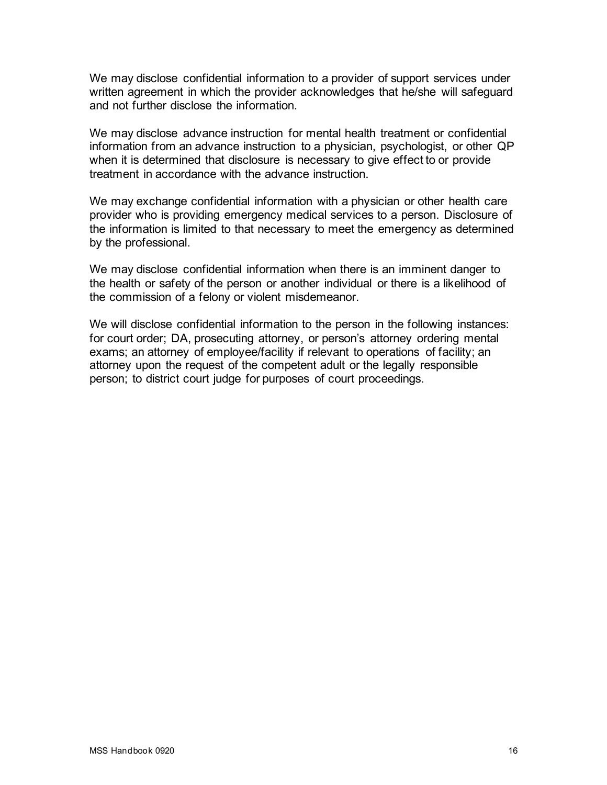We may disclose confidential information to a provider of support services under written agreement in which the provider acknowledges that he/she will safeguard and not further disclose the information.

We may disclose advance instruction for mental health treatment or confidential information from an advance instruction to a physician, psychologist, or other QP when it is determined that disclosure is necessary to give effect to or provide treatment in accordance with the advance instruction.

We may exchange confidential information with a physician or other health care provider who is providing emergency medical services to a person. Disclosure of the information is limited to that necessary to meet the emergency as determined by the professional.

We may disclose confidential information when there is an imminent danger to the health or safety of the person or another individual or there is a likelihood of the commission of a felony or violent misdemeanor.

We will disclose confidential information to the person in the following instances: for court order; DA, prosecuting attorney, or person's attorney ordering mental exams; an attorney of employee/facility if relevant to operations of facility; an attorney upon the request of the competent adult or the legally responsible person; to district court judge for purposes of court proceedings.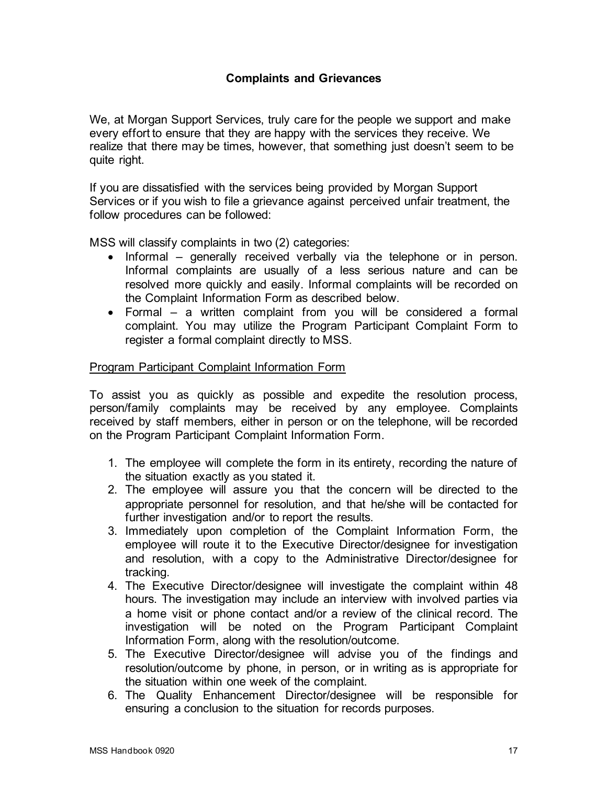We, at Morgan Support Services, truly care for the people we support and make every effort to ensure that they are happy with the services they receive. We realize that there may be times, however, that something just doesn't seem to be quite right.

If you are dissatisfied with the services being provided by Morgan Support Services or if you wish to file a grievance against perceived unfair treatment, the follow procedures can be followed:

MSS will classify complaints in two (2) categories:

- Informal generally received verbally via the telephone or in person. Informal complaints are usually of a less serious nature and can be resolved more quickly and easily. Informal complaints will be recorded on the Complaint Information Form as described below.
- Formal a written complaint from you will be considered a formal complaint. You may utilize the Program Participant Complaint Form to register a formal complaint directly to MSS.

#### Program Participant Complaint Information Form

To assist you as quickly as possible and expedite the resolution process, person/family complaints may be received by any employee. Complaints received by staff members, either in person or on the telephone, will be recorded on the Program Participant Complaint Information Form.

- 1. The employee will complete the form in its entirety, recording the nature of the situation exactly as you stated it.
- 2. The employee will assure you that the concern will be directed to the appropriate personnel for resolution, and that he/she will be contacted for further investigation and/or to report the results.
- 3. Immediately upon completion of the Complaint Information Form, the employee will route it to the Executive Director/designee for investigation and resolution, with a copy to the Administrative Director/designee for tracking.
- 4. The Executive Director/designee will investigate the complaint within 48 hours. The investigation may include an interview with involved parties via a home visit or phone contact and/or a review of the clinical record. The investigation will be noted on the Program Participant Complaint Information Form, along with the resolution/outcome.
- 5. The Executive Director/designee will advise you of the findings and resolution/outcome by phone, in person, or in writing as is appropriate for the situation within one week of the complaint.
- 6. The Quality Enhancement Director/designee will be responsible for ensuring a conclusion to the situation for records purposes.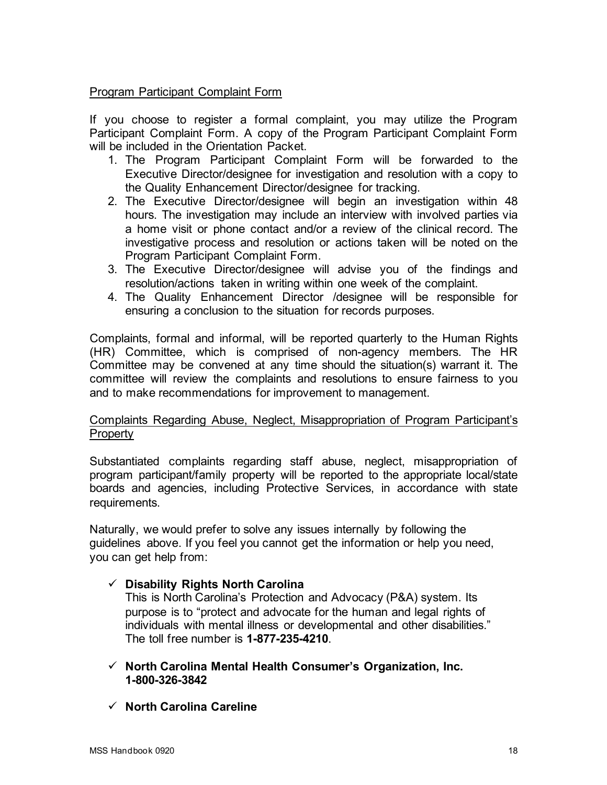# Program Participant Complaint Form

If you choose to register a formal complaint, you may utilize the Program Participant Complaint Form. A copy of the Program Participant Complaint Form will be included in the Orientation Packet.

- 1. The Program Participant Complaint Form will be forwarded to the Executive Director/designee for investigation and resolution with a copy to the Quality Enhancement Director/designee for tracking.
- 2. The Executive Director/designee will begin an investigation within 48 hours. The investigation may include an interview with involved parties via a home visit or phone contact and/or a review of the clinical record. The investigative process and resolution or actions taken will be noted on the Program Participant Complaint Form.
- 3. The Executive Director/designee will advise you of the findings and resolution/actions taken in writing within one week of the complaint.
- 4. The Quality Enhancement Director /designee will be responsible for ensuring a conclusion to the situation for records purposes.

Complaints, formal and informal, will be reported quarterly to the Human Rights (HR) Committee, which is comprised of non-agency members. The HR Committee may be convened at any time should the situation(s) warrant it. The committee will review the complaints and resolutions to ensure fairness to you and to make recommendations for improvement to management.

# Complaints Regarding Abuse, Neglect, Misappropriation of Program Participant's **Property**

Substantiated complaints regarding staff abuse, neglect, misappropriation of program participant/family property will be reported to the appropriate local/state boards and agencies, including Protective Services, in accordance with state requirements.

Naturally, we would prefer to solve any issues internally by following the guidelines above. If you feel you cannot get the information or help you need, you can get help from:

# **Disability Rights North Carolina**

This is North Carolina's Protection and Advocacy (P&A) system. Its purpose is to "protect and advocate for the human and legal rights of individuals with mental illness or developmental and other disabilities." The toll free number is **1-877-235-4210**.

#### **North Carolina Mental Health Consumer's Organization, Inc. 1-800-326-3842**

# **North Carolina Careline**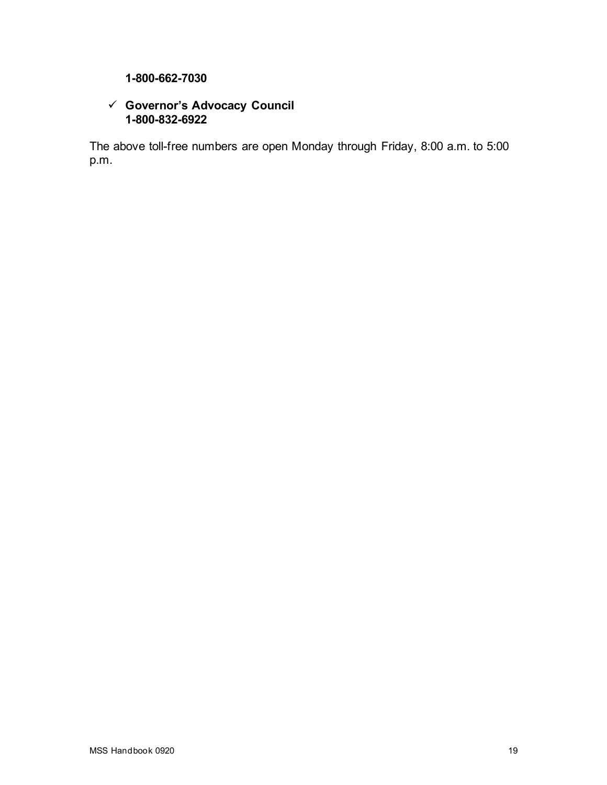# **1-800-662-7030**

# **Governor's Advocacy Council 1-800-832-6922**

The above toll-free numbers are open Monday through Friday, 8:00 a.m. to 5:00 p.m.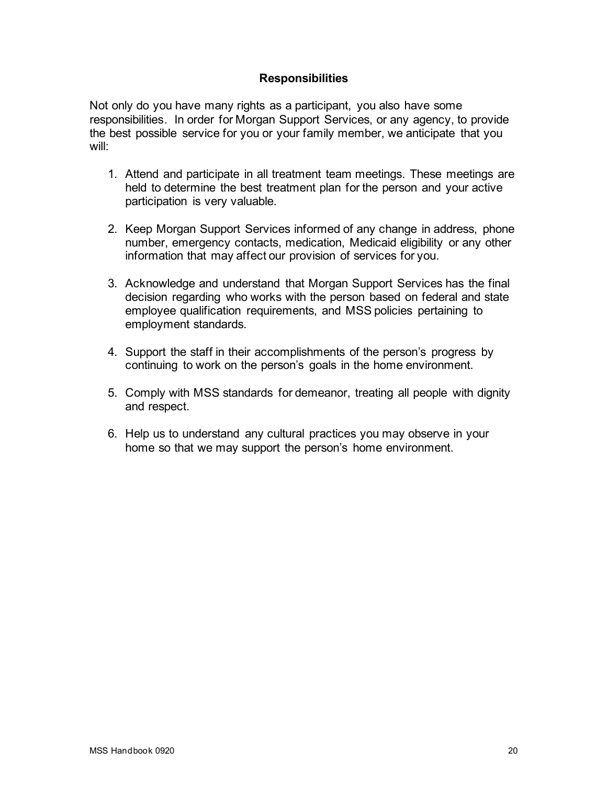# **Responsibilities**

Not only do you have many rights as a participant, you also have some responsibilities. In order for Morgan Support Services, or any agency, to provide the best possible service for you or your family member, we anticipate that you will:

- 1. Attend and participate in all treatment team meetings. These meetings are held to determine the best treatment plan for the person and your active participation is very valuable.
- 2. Keep Morgan Support Services informed of any change in address, phone number, emergency contacts, medication, Medicaid eligibility or any other information that may affect our provision of services for you.
- 3. Acknowledge and understand that Morgan Support Services has the final decision regarding who works with the person based on federal and state employee qualification requirements, and MSS policies pertaining to employment standards.
- 4. Support the staff in their accomplishments of the person's progress by continuing to work on the person's goals in the home environment.
- 5. Comply with MSS standards for demeanor, treating all people with dignity and respect.
- 6. Help us to understand any cultural practices you may observe in your home so that we may support the person's home environment.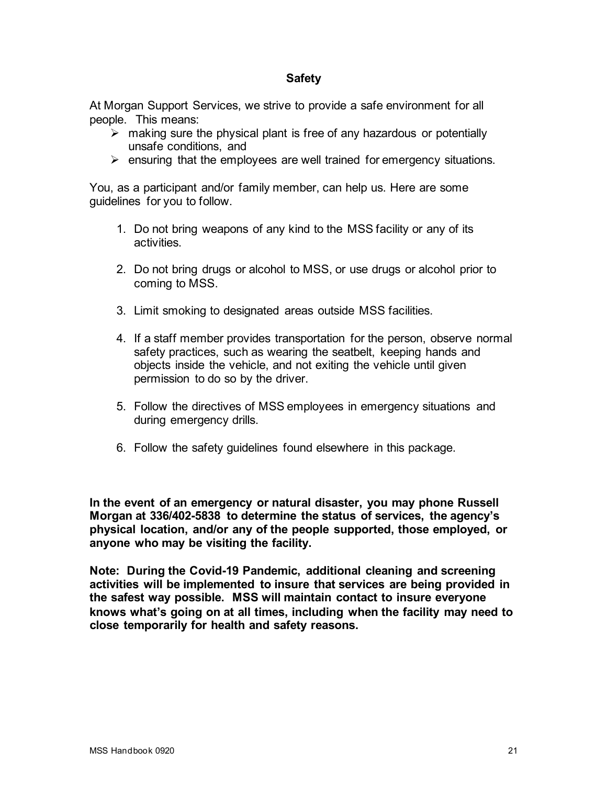#### **Safety**

At Morgan Support Services, we strive to provide a safe environment for all people. This means:

- $\triangleright$  making sure the physical plant is free of any hazardous or potentially unsafe conditions, and
- $\triangleright$  ensuring that the employees are well trained for emergency situations.

You, as a participant and/or family member, can help us. Here are some guidelines for you to follow.

- 1. Do not bring weapons of any kind to the MSS facility or any of its activities.
- 2. Do not bring drugs or alcohol to MSS, or use drugs or alcohol prior to coming to MSS.
- 3. Limit smoking to designated areas outside MSS facilities.
- 4. If a staff member provides transportation for the person, observe normal safety practices, such as wearing the seatbelt, keeping hands and objects inside the vehicle, and not exiting the vehicle until given permission to do so by the driver.
- 5. Follow the directives of MSS employees in emergency situations and during emergency drills.
- 6. Follow the safety guidelines found elsewhere in this package.

**In the event of an emergency or natural disaster, you may phone Russell Morgan at 336/402-5838 to determine the status of services, the agency's physical location, and/or any of the people supported, those employed, or anyone who may be visiting the facility.**

**Note: During the Covid-19 Pandemic, additional cleaning and screening activities will be implemented to insure that services are being provided in the safest way possible. MSS will maintain contact to insure everyone knows what's going on at all times, including when the facility may need to close temporarily for health and safety reasons.**